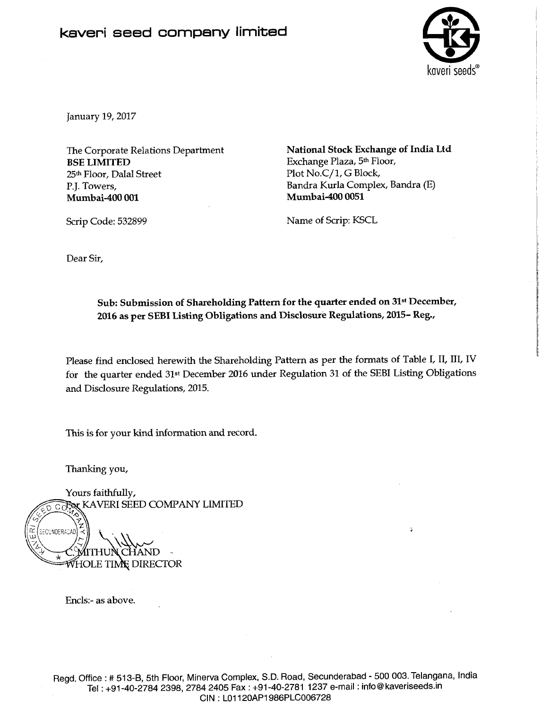## **kaveri seed company limited**



January **19,2017** 

The Corporate Relations Department **BSE LIMITED 25th** Floor, Dalal Street P.J. Towers, **Mumbai-400 001** 

**National Stock Exchange of India Ltd**  Exchange Plaza, **5th** Floor, Plot No.C/1, G Block, Bandra Kurla Complex, Bandra (E) **Mumbai-400 0051** 

Name of Scrip: KSCL

Scrip Code: **532899** 

Dear Sir,

Sub: Submission of Shareholding Pattern for the quarter ended on 31<sup>st</sup> December, **2016 as per SEBI Listing Obligations and Disclosure Regulations, 2015- Reg.,** 

Please find enclosed herewith the Shareholding Pattern as per the formats of Table I, II, III, IV for the quarter ended **31st** December **2016** under Regulation **31** of the SEBI Listing Obligations and Disclosure Regulations, **2015.** 

This is for your kind information **and** record.

Thanking you,

Yours faithfully, Collex KAVERI SEED COMPANY LIMITED SECUNDERACAD **WHOLE TIME DIRECTOR** 

Enc1s:- as above.

Regd. Office : # 513-B, 5th Floor, Minerva Complex, S.D. Road, Secunderabad - 500 003. Telangana, India Tel: +91-40-2784 2398, 2784 2405 Fax: +91-40-2781 1237 e-mail: info@kaveriseeds.in CIN : LO1 120AP1986PLC006728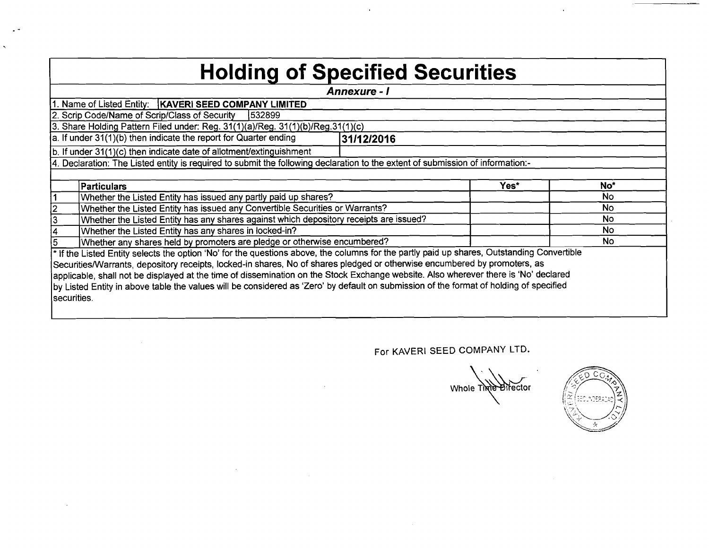## **Holding of Specified Securities**

|             |                                                                                                                                            | Annexure - I |      |           |
|-------------|--------------------------------------------------------------------------------------------------------------------------------------------|--------------|------|-----------|
|             | 1. Name of Listed Entity:   KAVERI SEED COMPANY LIMITED                                                                                    |              |      |           |
|             | 2. Scrip Code/Name of Scrip/Class of Security<br>1532899                                                                                   |              |      |           |
|             | 3. Share Holding Pattern Filed under: Reg. 31(1)(a)/Reg. 31(1)(b)/Reg. 31(1)(c)                                                            |              |      |           |
|             | a. If under $31(1)(b)$ then indicate the report for Quarter ending                                                                         | 31/12/2016   |      |           |
|             | b. If under 31(1)(c) then indicate date of allotment/extinguishment                                                                        |              |      |           |
|             | 4. Declaration: The Listed entity is required to submit the following declaration to the extent of submission of information:-             |              |      |           |
|             |                                                                                                                                            |              |      |           |
|             | <b>Particulars</b>                                                                                                                         |              | Yes* | No*       |
|             | Whether the Listed Entity has issued any partly paid up shares?                                                                            |              |      | No        |
|             | Whether the Listed Entity has issued any Convertible Securities or Warrants?                                                               |              |      | <b>No</b> |
| 3           | Whether the Listed Entity has any shares against which depository receipts are issued?                                                     |              |      | No        |
|             | Whether the Listed Entity has any shares in locked-in?                                                                                     |              |      | <b>No</b> |
| 5.          | Whether any shares held by promoters are pledge or otherwise encumbered?                                                                   |              |      | <b>No</b> |
|             | * If the Listed Entity selects the option 'No' for the questions above, the columns for the partly paid up shares, Outstanding Convertible |              |      |           |
|             | Securities/Warrants, depository receipts, locked-in shares, No of shares pledged or otherwise encumbered by promoters, as                  |              |      |           |
|             | applicable, shall not be displayed at the time of dissemination on the Stock Exchange website. Also wherever there is 'No' declared        |              |      |           |
|             | by Listed Entity in above table the values will be considered as 'Zero' by default on submission of the format of holding of specified     |              |      |           |
| securities. |                                                                                                                                            |              |      |           |
|             |                                                                                                                                            |              |      |           |

 $\sqrt{2}$ Whole Time Birector

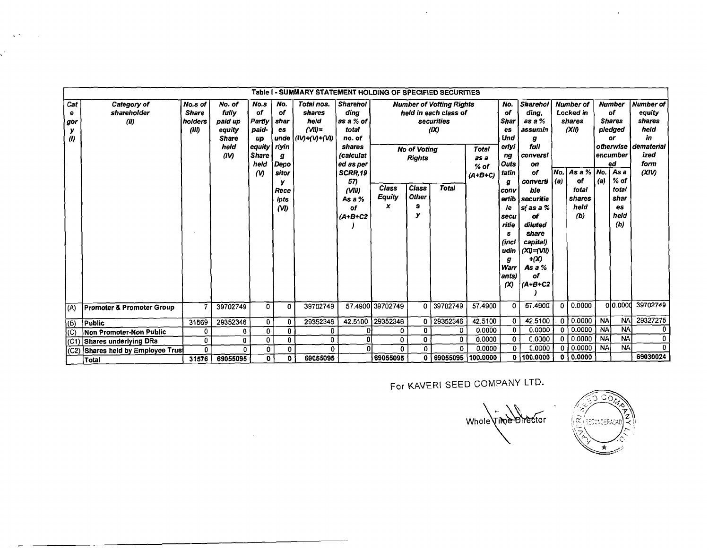|                                               |                                      |                                             |                                                                      |                                                                                                        |                                                                                       | Table I - SUMMARY STATEMENT HOLDING OF SPECIFIED SECURITIES |                                                                                                                                                                        |                                    |                                                                         |                                                                                                |                                      |                                                                                                                                                                                |                                                                                                                                                                                                                                         |              |                                                                                                                    |           |                                                                                                                                 |                                                                                                       |
|-----------------------------------------------|--------------------------------------|---------------------------------------------|----------------------------------------------------------------------|--------------------------------------------------------------------------------------------------------|---------------------------------------------------------------------------------------|-------------------------------------------------------------|------------------------------------------------------------------------------------------------------------------------------------------------------------------------|------------------------------------|-------------------------------------------------------------------------|------------------------------------------------------------------------------------------------|--------------------------------------|--------------------------------------------------------------------------------------------------------------------------------------------------------------------------------|-----------------------------------------------------------------------------------------------------------------------------------------------------------------------------------------------------------------------------------------|--------------|--------------------------------------------------------------------------------------------------------------------|-----------|---------------------------------------------------------------------------------------------------------------------------------|-------------------------------------------------------------------------------------------------------|
| Cat<br>е<br>gor<br>у<br>$\boldsymbol{\theta}$ | Category of<br>shareholder<br>(II)   | No.s of<br><b>Share</b><br>holders<br>(III) | No. of<br>fully<br>paid up<br>equity<br><b>Share</b><br>held<br>(IV) | No.s<br><b>of</b><br>Partly<br>paid-<br>up<br> equity<br><b>Share</b><br>held<br>$\boldsymbol{\omega}$ | No.<br>οf<br>shar<br>es<br>unde<br>riyin<br>g<br>Depo<br>sitor<br>Rece<br>ipts<br>(M) | Total nos.<br>shares<br>heid<br>(3)<br>(IV)+(V)+(VI)        | <b>Sharehol</b><br>dina<br>$\vert$ as a % of $\vert$<br>total<br>no. of<br>shares<br>(calculat<br>ed as per<br>SCRR,19<br>57)<br>(VIII)<br>As a $%$<br>оf<br>$(A+B+C2$ | <b>Class</b><br><b>Equity</b><br>x | <b>No of Votina</b><br><b>Rights</b><br>Class<br><b>Other</b><br>s<br>v | <b>Number of Votting Rights</b><br>held in each class of<br>securities<br>(IX)<br><b>Total</b> | Total<br>as a<br>$%$ of<br>$(A+B+C)$ | No.<br>of<br><b>Shar</b><br>es<br>Und<br>erlyi<br>ng<br>Outs<br>  tatin<br>g<br> conv<br>ertib<br>le.<br>secu<br>ritie<br>s<br>(incl<br>udin<br>g<br>Warr<br>ants)<br>$\infty$ | <b>Sharehol</b><br>ding,<br>as a %<br>assumin<br>g<br>full<br><b>CONVERS!</b><br>on<br>of<br>converti<br>ble<br>securitie<br>sí as a %<br>αf<br>diluted<br>share<br>capital)<br>$(XD = VI)$<br>+(X)<br>As $a$ %<br>оf<br>$(A + B + C2)$ | No. l<br>(a) | <b>Number of</b><br>Locked in<br>shares<br>(XII)<br>As a $\frac{9}{6}$ No.<br>of<br>total<br>shares<br>held<br>(b) | (a)       | <b>Number</b><br>of<br><b>Shares</b><br>pledged<br>or<br>encumber<br>ed<br>As a<br>$%$ of<br>total<br>shar<br>es<br>held<br>(b) | <b>Number of</b><br>equity<br>shares<br>held<br>in<br>ofherwise   dematerial<br>ized<br>form<br>(XIV) |
| (A)                                           | <b>Promoter &amp; Promoter Group</b> | $\overline{7}$                              | 39702749                                                             | 0                                                                                                      | $\mathbf{0}$                                                                          | 39702749                                                    |                                                                                                                                                                        | 57.4900 39702749                   | $\mathbf 0$                                                             | 39702749                                                                                       | 57.4900                              | $\mathbf 0$                                                                                                                                                                    | 57,4900                                                                                                                                                                                                                                 | $\mathbf 0$  | 0.0000                                                                                                             |           | 0 0.0000                                                                                                                        | 39702749                                                                                              |
| $ B\rangle$                                   | Public                               | 31569                                       | 29352346                                                             | 0                                                                                                      | 0                                                                                     | 29352346                                                    |                                                                                                                                                                        | 42.5100 29352346                   | $\mathbf{0}$                                                            | 29352346                                                                                       | 42.5100                              | 0                                                                                                                                                                              | 42.5100                                                                                                                                                                                                                                 | $\mathbf 0$  | 0.0000                                                                                                             | <b>NA</b> | <b>NA</b>                                                                                                                       | 29327275                                                                                              |
| (C)                                           | Non Promoter-Non Public              | 0                                           | 0                                                                    | 0                                                                                                      | 0                                                                                     | 0                                                           | 0                                                                                                                                                                      | 0                                  | 0                                                                       | 0                                                                                              | 0.0000                               | 0                                                                                                                                                                              | 0.0000                                                                                                                                                                                                                                  | $\mathbf{0}$ | 0.0000                                                                                                             | <b>NA</b> | <b>NA</b>                                                                                                                       | $\mathbf{0}$                                                                                          |
|                                               | (C1) Shares underlying DRs           | 0                                           | $\mathbf{0}$                                                         | $\mathbf{0}$                                                                                           | 0                                                                                     | $\mathbf{0}$                                                | 0                                                                                                                                                                      | 0                                  | 0                                                                       | 0                                                                                              | 0.0000                               | 0                                                                                                                                                                              | C.0000                                                                                                                                                                                                                                  | 0            | 0.0000                                                                                                             | <b>NA</b> | <b>NA</b>                                                                                                                       | $\mathbf{0}$                                                                                          |
| (C2)                                          | Shares held by Employee Trus         | 0                                           | $\mathbf{0}$                                                         | 0                                                                                                      | 0                                                                                     | $\Omega$                                                    | n                                                                                                                                                                      | 0                                  | $\Omega$                                                                | 0                                                                                              | 0.0000                               | $\Omega$                                                                                                                                                                       | C.0000                                                                                                                                                                                                                                  | $\Omega$     | 0.0000                                                                                                             | <b>NA</b> | <b>NA</b>                                                                                                                       | $\bf{0}$                                                                                              |
|                                               | lTotal                               | 31576                                       | 69055095                                                             | $\mathbf{0}$                                                                                           | 0                                                                                     | 69055095                                                    |                                                                                                                                                                        | 69055095                           |                                                                         | 0 69055095 100.0000                                                                            |                                      | $\mathbf 0$                                                                                                                                                                    | 100,0000                                                                                                                                                                                                                                | 0            | 0.0000                                                                                                             |           |                                                                                                                                 | 69030024                                                                                              |

 $\sim$   $\sim$ 

 $\mathcal{L}^{\pm}$ 

For KAVERI SEED COMPANY LTD.

Whole Time Birector

 $|\tilde{\alpha}|$ **UNDERADA** 

 $\bar{A}$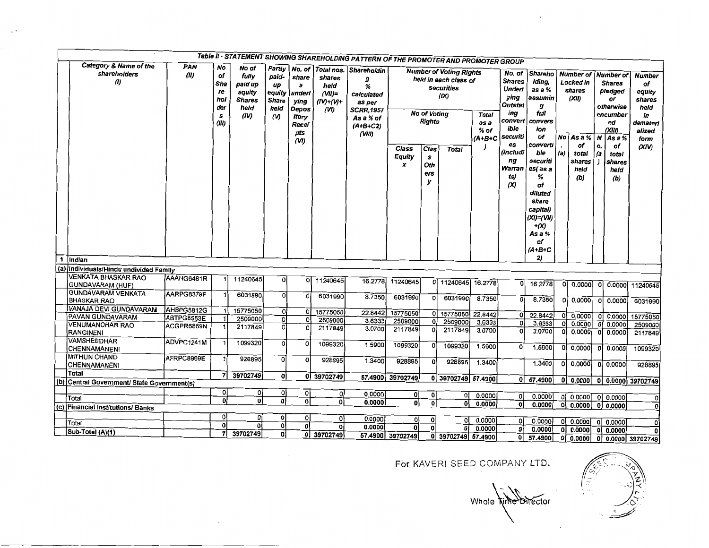|     |                                                 |             |                                                   |                                                                      |                                                    |                                                                       |                                                   | Table II - STATEMENT SHOWING SHAREHOLDING PATTERN OF THE PROMOTER AND PROMOTER GROUP                                             |                      |                                                               |                                                                                              |                                             |                                                                                                                                         |                                                                                                                                                                                                                                 |           |                                                                                                    |               |                                                                                                                                                   |                                                                                              |
|-----|-------------------------------------------------|-------------|---------------------------------------------------|----------------------------------------------------------------------|----------------------------------------------------|-----------------------------------------------------------------------|---------------------------------------------------|----------------------------------------------------------------------------------------------------------------------------------|----------------------|---------------------------------------------------------------|----------------------------------------------------------------------------------------------|---------------------------------------------|-----------------------------------------------------------------------------------------------------------------------------------------|---------------------------------------------------------------------------------------------------------------------------------------------------------------------------------------------------------------------------------|-----------|----------------------------------------------------------------------------------------------------|---------------|---------------------------------------------------------------------------------------------------------------------------------------------------|----------------------------------------------------------------------------------------------|
|     | Category & Name of the<br>shareholders<br>(l)   | PAN<br>(II) | No<br>of<br>Sha<br>re<br>hol<br>der<br>s<br>(III) | No of<br>fully<br>paid up<br>equity<br><b>Shares</b><br>held<br>(IV) | paid-<br>up<br>equity<br><b>Share</b><br>held<br>M | share<br>s<br>underl<br>ying<br>Depos<br>itorv<br>Recei<br>pts<br>(M) | shares<br>held<br>$(VII)=$<br>$(IV)+(V)+$<br>(VI) | Partly No. of Total nos. Shareholdin<br>g<br>%<br>calculated<br>as per<br><b>SCRR, 1957</b><br>As a % of<br>$(A+B+C2)$<br>(VIII) | Class<br>Equity<br>x | No of Voting<br><b>Rights</b><br>Clas<br>s<br>Oth<br>ers<br>У | <b>Number of Voting Rights</b><br>held in each class of<br>securities<br>(X)<br><b>Total</b> | <b>Total</b><br>as a<br>$%$ of<br>$(A+B+C)$ | <b>Shares</b><br><b>Underl</b><br>ying<br>Outstat<br>ing<br>convert<br>ible<br>securiti<br>es<br>(includi<br>ng<br>Warran<br>ts)<br>(X) | No. of Shareho<br>Iding,<br>as a %<br>assumin<br>g<br>full<br>convers<br>ion<br>of<br>converti<br>ble<br>securiti<br>es(as a<br>%<br>of<br>diluted<br>share<br>capital)<br>$(XI)=(VII)$<br>$+ (X)$<br>As a %<br>٥f<br>$(A+B+C)$ | No<br>(a) | <b>Number of</b><br>Locked in<br>shares<br>(XII)<br>As a %<br>of<br>total<br>shares<br>heid<br>(b) | 0.<br>(a      | <b>Number</b> of<br><b>Shares</b><br>pledged<br>or<br>otherwise<br>encumber<br>ed<br>(XIII)<br>$N$ $Asa%$<br>of<br>total<br>shares<br>held<br>(b) | <b>Number</b><br>of<br>equity<br>shares<br>held<br>in<br>demateri<br>alized<br>form<br>(XIV) |
| -1  | <i><b>Indian</b></i>                            |             |                                                   |                                                                      |                                                    |                                                                       |                                                   |                                                                                                                                  |                      |                                                               |                                                                                              |                                             |                                                                                                                                         | 2)                                                                                                                                                                                                                              |           |                                                                                                    |               |                                                                                                                                                   |                                                                                              |
|     | (a) Individuals/Hindu undivided Family          |             |                                                   |                                                                      |                                                    |                                                                       |                                                   |                                                                                                                                  |                      |                                                               |                                                                                              |                                             |                                                                                                                                         |                                                                                                                                                                                                                                 |           |                                                                                                    |               |                                                                                                                                                   |                                                                                              |
|     | <b>VENKATA BHASKAR RAO</b><br>GUNDAVARAM (HUF)  | AAAHG6481R  |                                                   | 11240645                                                             | οl                                                 | οI                                                                    | 11240645                                          | 16.2778                                                                                                                          | 11240645             |                                                               | 0 11240645                                                                                   | 16.2778                                     | Ωl                                                                                                                                      | 16.2778                                                                                                                                                                                                                         |           | 0 0.0000                                                                                           |               | 0 0.0000                                                                                                                                          | 11240645                                                                                     |
|     | <b>GUNDAVARAM VENKATA</b><br><b>BHASKAR RAO</b> | AARPG8379F  |                                                   | 6031990                                                              | $\overline{0}$                                     | O                                                                     | 6031990                                           | 8.7350                                                                                                                           | 6031990              | $\circ$                                                       | 6031990                                                                                      | 8.7350                                      |                                                                                                                                         | 8.7350                                                                                                                                                                                                                          |           | 0.0000                                                                                             | ٥l            | 0.0000                                                                                                                                            | 6031990                                                                                      |
|     | VANAJA DEVI GUNDAVARAM                          | AHBPG5812G  |                                                   | 15775050                                                             | οI                                                 |                                                                       | 0 15775050                                        | 22.8442                                                                                                                          | 15775050             | οl                                                            | 15775050 22.8442                                                                             |                                             | ٥I                                                                                                                                      |                                                                                                                                                                                                                                 |           |                                                                                                    |               |                                                                                                                                                   |                                                                                              |
|     | PAVAN GUNDAVARAM<br>VENUMANOHAR RAO             | ABTPG8553E  |                                                   | 2509000                                                              | 0                                                  | ٥l                                                                    | 2509000                                           | 3.6333                                                                                                                           | 2509000              | $\mathbf{o}$                                                  | 2509000                                                                                      | 3.6333                                      | οì                                                                                                                                      | 22.8442<br>3.6333                                                                                                                                                                                                               | 0<br>o    | 0.0000<br>0.0000                                                                                   | o             | 0.0000<br>0.0000                                                                                                                                  | 15775050                                                                                     |
|     | RANGINENI                                       | ACGPR6869N  |                                                   | 2117849                                                              | $\overline{c}$                                     | O                                                                     | 2117849                                           | 3.0700                                                                                                                           | 2117849              | $\Omega$                                                      | 2117849                                                                                      | 3.0700                                      | ol                                                                                                                                      | 3.0700                                                                                                                                                                                                                          | ٥l        | 0.0000                                                                                             | 0<br>$\Omega$ | 0.0000                                                                                                                                            | 2509000<br>2117849                                                                           |
|     | <b>VAMSHEEDHAR</b><br>CHENNAMANENI              | ADVPC1241M  |                                                   | 1099320                                                              | $\circ$                                            | $\Omega$                                                              | 1099320                                           | 1.5900                                                                                                                           | 1099320              | $\circ$                                                       | 1099320                                                                                      | 1.5900                                      | $\Omega$                                                                                                                                | 1.5900                                                                                                                                                                                                                          | 0l        | 0.0000                                                                                             | 0             | 0.0000                                                                                                                                            | 1099320                                                                                      |
|     | <b>MITHUN CHAND</b><br>CHENNAMANENI             | AFRPC8969E  |                                                   | 928895                                                               | $\overline{0}$                                     | $\overline{\mathbf{o}}$                                               | 928895                                            | 1.3400                                                                                                                           | 928895               | $\mathbf{o}$                                                  | 928895                                                                                       | 1.3400                                      |                                                                                                                                         | 1.3400                                                                                                                                                                                                                          | οI        | 0.0000                                                                                             | ΩI            | 0.0000                                                                                                                                            | 928895                                                                                       |
|     | Total                                           |             |                                                   | 39702749                                                             | $\mathbf{o}$                                       |                                                                       | 0 39702749                                        |                                                                                                                                  | 57.4900 39702749     |                                                               | 0 39702749 57.4900                                                                           |                                             |                                                                                                                                         |                                                                                                                                                                                                                                 |           |                                                                                                    |               |                                                                                                                                                   |                                                                                              |
| (b) | Central Government/ State Government(s)         |             | $\mathbf{0}$                                      | 0                                                                    |                                                    |                                                                       |                                                   |                                                                                                                                  |                      |                                                               |                                                                                              |                                             |                                                                                                                                         | 0 57.4900                                                                                                                                                                                                                       |           | 0 0.0000                                                                                           |               |                                                                                                                                                   | 0 0.0000 39702749                                                                            |
|     | Total                                           |             | οl                                                | ol                                                                   | οĮ<br>히                                            | οı<br>ol                                                              | οl<br>οł                                          | 0.0000                                                                                                                           | οI                   | 0                                                             | οl                                                                                           | 0.0000                                      | οl                                                                                                                                      | 0.0000                                                                                                                                                                                                                          | οl        | 0.0000                                                                                             |               | 0 0.0000                                                                                                                                          | 01                                                                                           |
|     | (c) Financial Institutions/ Banks               |             |                                                   |                                                                      |                                                    |                                                                       |                                                   | 0.0000                                                                                                                           | ol                   | $\mathbf{0}$                                                  | ٥l                                                                                           | 0.0000                                      | 0                                                                                                                                       | 0.0000                                                                                                                                                                                                                          | ٥l        | 0.0000                                                                                             |               | 0 0.0000                                                                                                                                          |                                                                                              |
|     |                                                 |             | ٥I                                                | ٥I                                                                   | o                                                  | ٥l                                                                    | o۱                                                | 0.0000                                                                                                                           | οI                   | $\mathbf{o}$                                                  |                                                                                              |                                             |                                                                                                                                         |                                                                                                                                                                                                                                 |           |                                                                                                    |               |                                                                                                                                                   |                                                                                              |
|     | Total                                           |             | ٥l                                                | ۵İ                                                                   | $\overline{\mathbf{0}}$                            | οl                                                                    | O                                                 | 0.0000                                                                                                                           | $\Omega$             | O                                                             | οI<br>$\mathbf{0}$                                                                           | 0.0000<br>0.0000                            | οl<br>٥I                                                                                                                                | 0.0000<br>0.0000                                                                                                                                                                                                                | ٥I        | 0.0000                                                                                             |               | 0 0.0000                                                                                                                                          |                                                                                              |
|     | Sub-Total (A)(1)                                |             | $\overline{7}$                                    | 39702749                                                             | 0                                                  | ٥l                                                                    | 39702749                                          |                                                                                                                                  | 57.4900 39702749     |                                                               | 0 39702749 57.4900                                                                           |                                             | ٥I                                                                                                                                      | 57.4900                                                                                                                                                                                                                         | οI<br>Οl  | 0.0000                                                                                             |               | 0 <sub>0.0000</sub>                                                                                                                               | $\mathbf{0}$<br>$0.0000$ 0 $0.0000$ 39702749                                                 |
|     |                                                 |             |                                                   |                                                                      |                                                    |                                                                       |                                                   |                                                                                                                                  |                      |                                                               |                                                                                              |                                             |                                                                                                                                         |                                                                                                                                                                                                                                 |           |                                                                                                    |               |                                                                                                                                                   |                                                                                              |

 $\sim$ 

Whole **Aime Birector** 

, **PARTY COMPANY**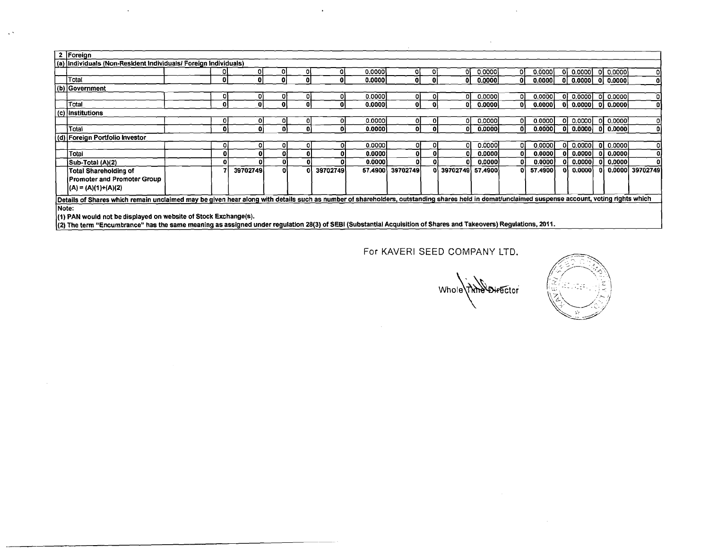|       | 2   Foreign                                                                                                                                                                                    |    |          |    |          |         |                  |    |                  |        |    |         |     |                       |       |                       |                   |
|-------|------------------------------------------------------------------------------------------------------------------------------------------------------------------------------------------------|----|----------|----|----------|---------|------------------|----|------------------|--------|----|---------|-----|-----------------------|-------|-----------------------|-------------------|
|       | (a) Individuals (Non-Resident Individuals/ Foreign Individuals)                                                                                                                                |    |          |    |          |         |                  |    |                  |        |    |         |     |                       |       |                       |                   |
|       |                                                                                                                                                                                                |    |          |    |          | 0.00001 | O.               |    |                  | 0.0000 | O. | 0.0000  |     | 이 0.000이              |       | 이 0.000이              |                   |
|       | Total                                                                                                                                                                                          |    |          |    |          | 0.0000  | 0.               |    | ΩI               | 0.0000 | ΩI | 0.0000  |     | 0 0.0000 0 0.0000     |       |                       | ΩI                |
|       | (b) Government                                                                                                                                                                                 |    |          |    |          |         |                  |    |                  |        |    |         |     |                       |       |                       |                   |
|       |                                                                                                                                                                                                | וט |          |    |          | 0.00001 | oı               |    |                  | 0.0000 | οı | 0.0000  |     | $ 0 $ 0.0000 0 0.0000 |       |                       | οI                |
|       | Total                                                                                                                                                                                          |    |          |    |          | 0.0000  | o۱               |    |                  | 0.0000 | ٥I | 0.0000  |     |                       |       | $ 0 $ 0.0000 0 0.0000 | ٥I                |
|       | (c) Institutions                                                                                                                                                                               |    |          |    |          |         |                  |    |                  |        |    |         |     |                       |       |                       |                   |
|       |                                                                                                                                                                                                | 01 |          | οι |          | 0.0000  | 01               | οı |                  | 0.0000 | οı | 0.0000  | 01  | 0.0000                |       | 0 0.0000              | ol                |
|       | Total                                                                                                                                                                                          | ٥١ |          | ĐI |          | 0.00001 | οł               |    |                  | 0.0000 | ΩI | 0.00001 |     | 0 0.0000              |       | 01 0.00001            | ٥l                |
|       | (d) Foreign Portfolio Investor                                                                                                                                                                 |    |          |    |          |         |                  |    |                  |        |    |         |     |                       |       |                       |                   |
|       |                                                                                                                                                                                                | οı |          | οı |          | 0.0000  | Οľ               | οı |                  | 0.0000 |    | 0.00001 |     | $ 0 $ 0.0000          | - O I | ∣0.0000l              | ٥l                |
|       | Total                                                                                                                                                                                          | o  |          |    |          | 0.0000  | - O I            |    |                  | 0.0000 |    | 0.0000  | 0I. | 0.0000                |       | 0   0.0000            | ٥I                |
|       | Sub-Total (A)(2)                                                                                                                                                                               | Ω  |          |    |          | 0.00001 | o                |    |                  | 0.0000 |    | 0.0000  |     | 0.00001               |       | 01 0.00001            |                   |
|       | <b>Total Shareholding of</b>                                                                                                                                                                   |    | 39702749 |    | 39702749 |         | 57.4900 39702749 |    | 39702749 57,4900 |        |    | 57.4900 |     | 0.0000                |       |                       | 0 0.0000 39702749 |
|       | Promoter and Promoter Group                                                                                                                                                                    |    |          |    |          |         |                  |    |                  |        |    |         |     |                       |       |                       |                   |
|       | $ (A) = (A)(1)+(A)(2)$                                                                                                                                                                         |    |          |    |          |         |                  |    |                  |        |    |         |     |                       |       |                       |                   |
|       | Details of Shares which remain unclaimed may be given hear along with details such as number of shareholders, outstanding shares held in demat/unclaimed suspense account, voting rights which |    |          |    |          |         |                  |    |                  |        |    |         |     |                       |       |                       |                   |
| Note: |                                                                                                                                                                                                |    |          |    |          |         |                  |    |                  |        |    |         |     |                       |       |                       |                   |
|       |                                                                                                                                                                                                |    |          |    |          |         |                  |    |                  |        |    |         |     |                       |       |                       |                   |

 $\mathbf{r}$ 

 $\sim$ 

(1) PAN would not be displayed on website of Stock Exchange(s).<br>(2) The term "Encumbrance" has the same meaning as assigned under regulation 28(3) of SEBI (Substantial Acquisition of Shares and Takeovers) Regulations, 2011

 $\ddot{\phantom{1}}$ 

Whole Thin Director

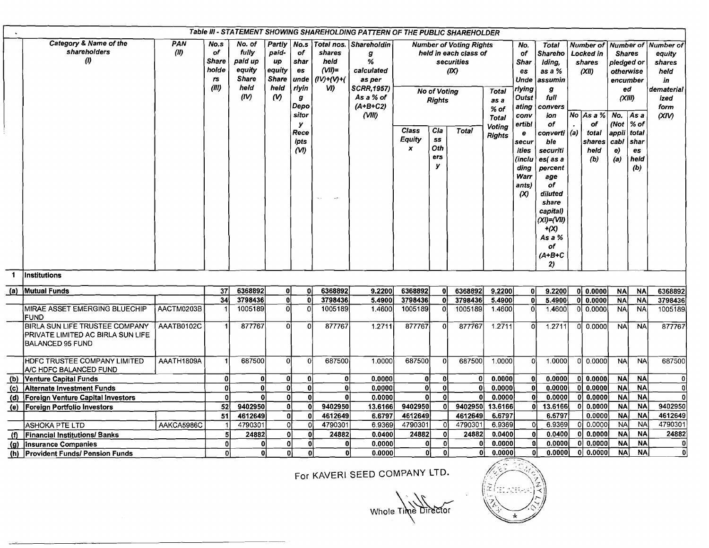|              |                                                                                                |             |                                                    |                                                                      |                                                                     |                                                                                |                                                                   | Table III - STATEMENT SHOWING SHAREHOLDING PATTERN OF THE PUBLIC SHAREHOLDER                          |                                                   |                               |                                                                              |                                         |                                                                              |                                                                                                                                                                         |    |                                                               |                                                                                    |                                     |                                                                                    |
|--------------|------------------------------------------------------------------------------------------------|-------------|----------------------------------------------------|----------------------------------------------------------------------|---------------------------------------------------------------------|--------------------------------------------------------------------------------|-------------------------------------------------------------------|-------------------------------------------------------------------------------------------------------|---------------------------------------------------|-------------------------------|------------------------------------------------------------------------------|-----------------------------------------|------------------------------------------------------------------------------|-------------------------------------------------------------------------------------------------------------------------------------------------------------------------|----|---------------------------------------------------------------|------------------------------------------------------------------------------------|-------------------------------------|------------------------------------------------------------------------------------|
|              | Category & Name of the<br>shareholders<br>$\left( 0\right)$                                    | PAN<br>(11) | No.s<br>of<br><b>Share</b><br>holde<br>75<br>(III) | No. of<br>fully<br>paid up<br>equity<br><b>Share</b><br>held<br>(IV) | Partly<br>paid-<br>up<br>equity<br><b>Share</b><br>held<br>$\omega$ | No.s<br>of<br>shar<br>es<br>unde<br>rlyin<br>$\boldsymbol{g}$<br>Depo<br>sitor | Total nos.<br>shares<br>held<br>$(VII)=$<br>$(IV)+(V)+(V)$<br>VI) | Shareholdin<br>g<br>%<br>calculated<br>as per<br><b>SCRR,1957)</b><br>As a % of<br>(A+B+C2)<br>(VIII) |                                                   | No of Voting<br><b>Rights</b> | <b>Number of Voting Rights</b><br>held in each class of<br>securities<br>(X) | <b>Total</b><br>as a<br>$%$ of<br>Total | No.<br>of<br>Shar<br>es<br>Unde<br>rlying<br>Outst<br>ating<br>conv          | <b>Total</b><br>Shareho<br>Iding,<br>as a %<br>assumin<br>$\sigma$<br>full<br>convers<br>ion                                                                            |    | <b>Number of</b><br>Locked in<br>shares<br>(XII)<br>No $Asa%$ | Number of<br><b>Shares</b><br>pledged or<br>otherwise<br>encumber<br>(XIII)<br>No. | ed<br>As a                          | Number of<br>equity<br>shares<br>held<br>in<br>dematerial<br>ized<br>form<br>(XIV) |
|              |                                                                                                |             |                                                    |                                                                      |                                                                     | У<br>Rece<br>ipts<br>(V <sub>1</sub> )                                         |                                                                   |                                                                                                       | <b>Class</b><br><b>Equity</b><br>$\boldsymbol{x}$ | Cla<br>SS<br>Oth<br>ers<br>У  | <b>Total</b>                                                                 | Voting<br><b>Rights</b>                 | ertibl<br>e<br>secur<br>ities<br>(inclu<br>ding<br>Warr<br>ants)<br>$\infty$ | of<br>converti   (a)<br>ble<br>securiti<br>es(as a<br>percent<br>age<br>οf<br>diluted<br>share<br>capital)<br>$(XI) = (VII)$<br>$+ (X)$<br>As a %<br>of<br>(A+B+C<br>2) |    | οf<br>total<br>shares<br>held<br>(b)                          | (Not $\vert\%$ of<br>appli<br>cabl<br>e)<br>(a)                                    | total<br>shar<br>es.<br>heid<br>(b) |                                                                                    |
| $\mathbf{1}$ | Institutions                                                                                   |             |                                                    |                                                                      |                                                                     |                                                                                |                                                                   |                                                                                                       |                                                   |                               |                                                                              |                                         |                                                                              |                                                                                                                                                                         |    |                                                               |                                                                                    |                                     |                                                                                    |
| (a)          | <b>Mutual Funds</b>                                                                            |             | 37                                                 | 6368892                                                              | 0l<br>$\overline{\mathfrak{g}}$                                     | Οl                                                                             | 6368892                                                           | 9.2200                                                                                                | 6368892                                           | 0I                            | 6368892                                                                      | 9.2200                                  | 01                                                                           | 9.2200                                                                                                                                                                  |    | 0 0.0000                                                      | <b>NA</b>                                                                          | <b>NA</b>                           | 6368892                                                                            |
|              | MIRAE ASSET EMERGING BLUECHIP                                                                  | AACTM0203B  | 34                                                 | 3798436<br>1005189                                                   | ol                                                                  | 0Ì<br>Ωl                                                                       | 3798436<br>1005189                                                | 5.4900<br>1.4600                                                                                      | 3798436<br>1005189                                | 0l<br>0                       | 3798436<br>1005189                                                           | 5.4900<br>1.4600                        | ΩÌ<br>ΩI                                                                     | 5.4900<br>1.4600                                                                                                                                                        | ΩI | 0 0.0000<br>0.0000                                            | <b>NA</b><br><b>NA</b>                                                             | <b>NA</b><br><b>NAI</b>             | 3798436<br>1005189                                                                 |
|              | FUND                                                                                           |             |                                                    |                                                                      |                                                                     |                                                                                |                                                                   |                                                                                                       |                                                   |                               |                                                                              |                                         |                                                                              |                                                                                                                                                                         |    |                                                               |                                                                                    |                                     |                                                                                    |
|              | BIRLA SUN LIFE TRUSTEE COMPANY<br>PRIVATE LIMITED AC BIRLA SUN LIFE<br><b>BALANCED 95 FUND</b> | AAATB0102C  |                                                    | 877767                                                               | ΩÌ                                                                  | $\Omega$                                                                       | 877767                                                            | 1.2711                                                                                                | 877767                                            | $\mathbf 0$                   | 877767                                                                       | 1.2711                                  |                                                                              | 1.2711                                                                                                                                                                  | n  | 0.0000                                                        | <b>NA</b>                                                                          | <b>NA</b>                           | 877767                                                                             |
|              | <b>HDFC TRUSTEE COMPANY LIMITED</b><br>A/C HDFC BALANCED FUND                                  | AAATH1809A  |                                                    | 687500                                                               | ٥I                                                                  | $\Omega$                                                                       | 687500                                                            | 1.0000                                                                                                | 687500                                            | $\Omega$                      | 687500                                                                       | 1.0000                                  |                                                                              | 1.0000                                                                                                                                                                  |    | $0$ 0.0000                                                    | <b>NA</b>                                                                          | <b>NA</b>                           | 687500                                                                             |
| (b)          | Venture Capital Funds                                                                          |             | 0                                                  | $\mathbf{0}$                                                         | ٥I                                                                  | $\mathbf{0}$                                                                   | 0l                                                                | 0.0000                                                                                                | 0                                                 | -Ol                           | 0                                                                            | 0.0000                                  |                                                                              | 0.0000                                                                                                                                                                  |    | 0 0.0000                                                      | <b>NA</b>                                                                          | <b>NA</b>                           | 0                                                                                  |
| (c)          | Alternate Investment Funds                                                                     |             | $\mathbf{0}$                                       | 0                                                                    | ٥l                                                                  | 0l                                                                             | 0                                                                 | 0.0000                                                                                                | $\mathbf{0}$                                      | 0                             | Οİ                                                                           | 0.0000                                  |                                                                              | 0.0000                                                                                                                                                                  |    | 0 0.0000                                                      | <b>NA</b>                                                                          | <b>NA</b>                           | -Ol                                                                                |
|              | (d) Foreign Venture Capital Investors                                                          |             | o                                                  | $\Omega$                                                             | ٥l                                                                  | 0l                                                                             | $\mathbf{0}$                                                      | 0.0000                                                                                                | οl                                                | 0                             |                                                                              | 0.0000                                  |                                                                              | 0.0000                                                                                                                                                                  |    | 0 0.0000                                                      | <b>NA</b>                                                                          | <b>NA</b>                           | $\mathbf{0}$                                                                       |
|              | (e) Foreign Portfolio Investors                                                                |             | 52                                                 | 9402950                                                              | ٥l                                                                  | 0Ì                                                                             | 9402950                                                           | 13.6166                                                                                               | 9402950                                           | $\mathbf{0}$                  | 9402950                                                                      | 13.6166                                 | ΩÌ                                                                           | 13.6166                                                                                                                                                                 |    | 0 0.0000                                                      | <b>NA</b>                                                                          | <b>NA</b>                           | 9402950                                                                            |
|              |                                                                                                |             | 51                                                 | 4612649                                                              | 0                                                                   | 0                                                                              | 4612649                                                           | 6.6797                                                                                                | 4612649                                           |                               | 4612649                                                                      | 6.6797                                  |                                                                              | 6.6797                                                                                                                                                                  |    | 0.0000                                                        | <b>NA</b>                                                                          | <b>NA</b>                           | 4612649                                                                            |
|              | <b>ASHOKA PTE LTD</b>                                                                          | AAKCA5986C  | $\overline{1}$                                     | 4790301                                                              | οl                                                                  | ΩI                                                                             | 4790301                                                           | 6.9369                                                                                                | 4790301                                           | οI                            | 4790301                                                                      | 6.9369                                  | ۵ï<br>n                                                                      | 6.9369                                                                                                                                                                  |    | 0 0.0000                                                      | <b>NA</b>                                                                          | <b>NA</b>                           | 4790301                                                                            |
|              | (f) Financial Institutions/Banks                                                               |             | 5 <sup>1</sup>                                     | 24882                                                                | 0                                                                   | 0l                                                                             | 24882                                                             | 0.0400                                                                                                | 24882<br>0                                        | 0 <br>$\mathbf{o}$            | 24882                                                                        | 0.0400                                  | $\mathbf{0}$                                                                 | 0.0400                                                                                                                                                                  |    | 0 0.0000                                                      | <b>NA</b><br><b>NA</b>                                                             | <b>NA</b><br><b>NA</b>              | 24882<br>$\mathbf{0}$                                                              |
|              | (g) Insurance Companies                                                                        |             | 0                                                  | 0                                                                    | 0                                                                   | 0l                                                                             | 0l<br>O.                                                          | 0.0000                                                                                                |                                                   | $\mathbf{0}$                  | $\mathbf{0}$<br>٥۱                                                           | 0.0000                                  | Οl                                                                           | 0.00001<br>0.0000                                                                                                                                                       |    | 0 0.0000                                                      | <b>NA</b>                                                                          | <b>NA</b>                           | $\mathbf{0}$                                                                       |
|              | (h) Provident Funds/ Pension Funds                                                             |             | $\mathbf{0}$                                       | Οl                                                                   | 0                                                                   |                                                                                |                                                                   | 0.0000                                                                                                | 01                                                |                               |                                                                              | 0.0000                                  |                                                                              |                                                                                                                                                                         |    | 0 0.0000                                                      |                                                                                    |                                     |                                                                                    |

Whole Time Director

NOES.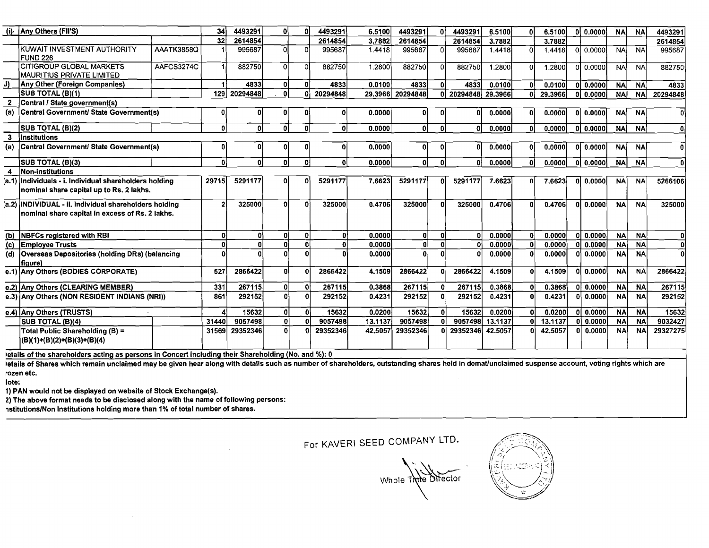|                | (i) Any Others (FII'S)                                                                                    |                   | 34           | 4493291  |    | 0l           | 4493291  | 6,5100  | 4493291          | ΩI           | 4493291          | 6,5100  |    | 6.5100  | 0.0000                | <b>NA</b> | <b>NA</b> | 4493291      |
|----------------|-----------------------------------------------------------------------------------------------------------|-------------------|--------------|----------|----|--------------|----------|---------|------------------|--------------|------------------|---------|----|---------|-----------------------|-----------|-----------|--------------|
|                |                                                                                                           |                   | 32           | 2614854  |    |              | 2614854  | 3.7882  | 2614854          |              | 2614854          | 3.7882  |    | 3.7882  |                       |           |           | 2614854      |
|                | KUWAIT INVESTMENT AUTHORITY<br><b>FUND 226</b>                                                            | <b>AAATK3858Q</b> |              | 995687   |    | ΩI           | 995687   | 1.4418  | 995687           | n.           | 995687           | 1.4418  | O  | 1.4418  | 0.0000<br>ΩI          | <b>NA</b> | <b>NA</b> | 995687       |
|                | <b>CITIGROUP GLOBAL MARKETS</b><br><b>IMAURITIUS PRIVATE LIMITED</b>                                      | AAFCS3274C        |              | 882750   | ΩI | $\Omega$     | 882750   | 1.2800  | 882750           | $\Omega$     | 882750           | 1.2800  |    | 1.2800  | $01$ 0.0000           | <b>NA</b> | <b>NA</b> | 882750       |
| J)             | <b>Any Other (Foreign Companies)</b>                                                                      |                   |              | 4833     | ΩI | $\mathbf{0}$ | 4833     | 0.0100  | 4833             | n.           | 4833             | 0.0100  |    | 0.0100  | 0.0000                | <b>NA</b> | <b>NA</b> | 4833         |
|                | SUB TOTAL (B)(1)                                                                                          |                   | 129          | 20294848 | 0l | Λ            | 20294848 |         | 29.3966 20294848 | ΩI           | 20294848 29.3966 |         | n  | 29.3966 | 0,0000                | <b>NA</b> | <b>NA</b> | 20294848     |
| 2              | Central / State government(s)                                                                             |                   |              |          |    |              |          |         |                  |              |                  |         |    |         |                       |           |           |              |
| (a)            | Central Government/ State Government(s)                                                                   |                   | 0            |          |    | o            |          | 0.0000  | 01               |              | n١               | 0.0000  |    | 0.0000  | 0 0.0000              | <b>NA</b> | <b>NA</b> |              |
|                | SUB TOTAL (B)(2)                                                                                          |                   | 0            | ۵I       | 0l | $\mathbf{0}$ | -nl      | 0.0000  | ٥I               | 0l           | n                | 0.0000  |    | 0.0000  | 0 0.0000              | <b>NA</b> | <b>NA</b> | 0            |
| 3              | <i><b>Institutions</b></i>                                                                                |                   |              |          |    |              |          |         |                  |              |                  |         |    |         |                       |           |           |              |
| (a)            | Central Government/ State Government(s)                                                                   |                   | $\mathbf{0}$ |          |    | O            |          | 0.0000  | 01               |              | Λ                | 0.0000  | n  | 0.0000  | 0 0.0000              | <b>NA</b> | <b>NA</b> | $\mathbf{0}$ |
|                | <b>SUB TOTAL (B)(3)</b>                                                                                   |                   | ٥I           | ٥I       | ΩI | $\Omega$     | $\Omega$ | 0.0000  | 0                | $\mathbf{0}$ | n١               | 0.0000  |    | 0.0000  | 0.0000<br>Ωl          | <b>NA</b> | <b>NA</b> | 0l           |
|                | Non-institutions                                                                                          |                   |              |          |    |              |          |         |                  |              |                  |         |    |         |                       |           |           |              |
|                | (a.1) Individuals - i. Individual shareholders holding                                                    |                   | 29715        | 5291177  |    |              | 5291177  | 7.6623  | 5291177          | n            | 5291177          | 7.6623  |    | 7.6623  | 0 <sub>1</sub> 0.0000 | <b>NA</b> | <b>NA</b> | 5266106      |
|                | nominal share capital up to Rs. 2 lakhs.                                                                  |                   |              |          |    |              |          |         |                  |              |                  |         |    |         |                       |           |           |              |
|                | 'a.2) INDIVIDUAL - ii. Individual shareholders holding<br>nominal share capital in excess of Rs. 2 lakhs. |                   | $\mathbf{2}$ | 325000   | ΩI | n.           | 325000   | 0.4706  | 325000           | ΩI           | 325000           | 0.4706  | n  | 0.4706  | $ol$ 0.0000           | <b>NA</b> | <b>NA</b> | 325000       |
| (b)            | <b>NBFCs registered with RBI</b>                                                                          |                   | $\mathbf 0$  | ٥l       |    | 0l           | ΩI       | 0.0000  | 0                | n١           |                  | 0.0000  | -n | 0.0000  | 0 <sub>1</sub> 0.0000 | <b>NA</b> | <b>NA</b> | o            |
| $\overline{c}$ | <b>Employee Trusts</b>                                                                                    |                   | Ωİ           | 0        |    | n            |          | 0.0000  | 0                |              |                  | 0.0000  |    | 0.0000  | 010.0000              | <b>NA</b> | <b>NA</b> | $\Omega$     |
| (d)            | Overseas Depositories (holding DRs) (balancing<br>fiaure)                                                 |                   |              |          |    |              |          | 0.0000  | Ωl               |              |                  | 0.0000  |    | 0.0000  | 0 0.0000              | <b>NA</b> | <b>NA</b> | $\Omega$     |
|                | e.1) Any Others (BODIES CORPORATE)                                                                        |                   | 527          | 2866422  |    |              | 2866422  | 4.1509  | 2866422          | n            | 2866422          | 4.1509  |    | 4.1509  | 0 0.0000              | <b>NA</b> | <b>NA</b> | 2866422      |
|                | e.2) Any Others (CLEARING MEMBER)                                                                         |                   | 331          | 267115   |    | 0            | 267115   | 0.3868  | 267115           | 0            | 267115           | 0.3868  |    | 0.3868  | 0.0000<br>ΩI          | <b>NA</b> | <b>NA</b> | 267115       |
|                | e.3) Any Others (NON RESIDENT INDIANS (NRI))                                                              |                   | 861          | 292152   | Ωl | $\theta$     | 292152   | 0.4231  | 292152           | 0l           | 292152           | 0.4231  |    | 0.4231  | 0 <sub>1</sub> 0.0000 | <b>NA</b> | <b>NA</b> | 292152       |
|                | e.4) Any Others (TRUSTS)                                                                                  |                   |              | 15632    | ΩI | 0l           | 15632    | 0.0200  | 15632            | Οl           | 15632            | 0.0200  |    | 0.0200  | 010.0000              | <b>NA</b> | <b>NA</b> | 15632        |
|                | SUB TOTAL (B)(4)                                                                                          |                   | 31440        | 9057498  | o١ | ΩI           | 9057498  | 13.1137 | 9057498          | ΩI           | 9057498 13.1137  |         |    | 13.1137 | 0 <sup>1</sup> 0.0000 | <b>NA</b> | <b>NA</b> | 9032427      |
|                | Total Public Shareholding (B) =<br>(B)(1)+(B)(2)+(B)(3)+(B)(4)                                            |                   | 31569        | 29352346 |    |              | 29352346 | 42,5057 | 29352346         | ΩL           | 29352346         | 42.5057 |    | 42,5057 | 0.0000<br>n.          | <b>NA</b> | <b>NA</b> | 29327275     |

letails of the shareholders acting as persons in Concert including their Shareholding (No. and %): 0

letails of Shares which remain unclaimed may be given hear along with details such as number of shareholders, outstanding shares held in demat/unclaimed suspense account, voting rights which are rozen etc.

lote:

1) PAN would not be displayed on website of Stock Exchange(s).

2) The above format needs to be disclosed along with the name of following persons:

istitutions/Non Institutions holding more than 1% of total number of shares.

Whole Thine Director